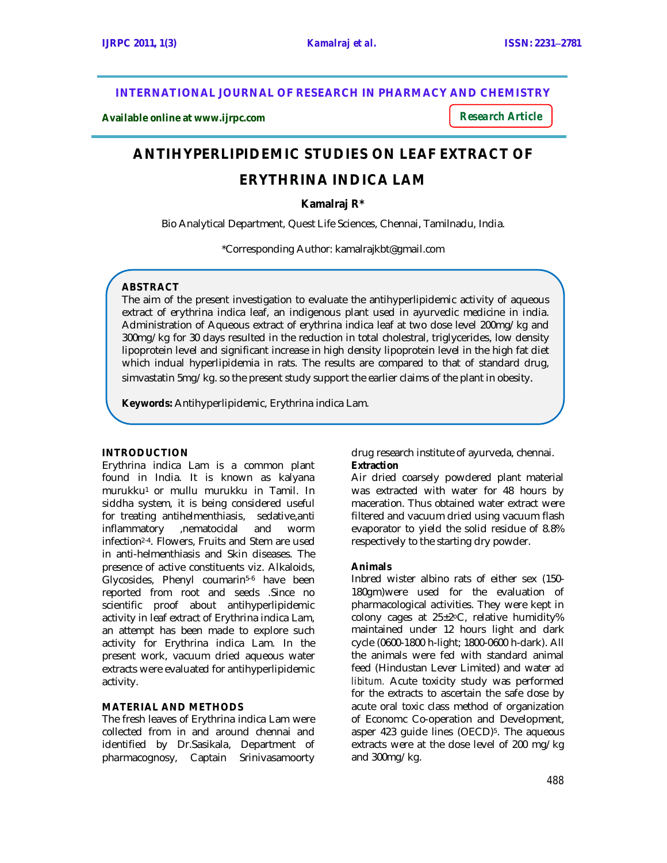**INTERNATIONAL JOURNAL OF RESEARCH IN PHARMACY AND CHEMISTRY**

**Available online at www.ijrpc.com**

*Research Article*

# **ANTIHYPERLIPIDEMIC STUDIES ON LEAF EXTRACT OF**

# **ERYTHRINA INDICA LAM**

**Kamalraj R\***

Bio Analytical Department, Quest Life Sciences, Chennai, Tamilnadu, India.

\*Corresponding Author: kamalrajkbt@gmail.com

# **ABSTRACT**

The aim of the present investigation to evaluate the antihyperlipidemic activity of aqueous extract of erythrina indica leaf, an indigenous plant used in ayurvedic medicine in india. Administration of Aqueous extract of erythrina indica leaf at two dose level 200mg/kg and 300mg/kg for 30 days resulted in the reduction in total cholestral, triglycerides, low density lipoprotein level and significant increase in high density lipoprotein level in the high fat diet which indual hyperlipidemia in rats. The results are compared to that of standard drug, simvastatin 5mg/kg. so the present study support the earlier claims of the plant in obesity.

**Keywords:** Antihyperlipidemic, Erythrina indica Lam.

# **INTRODUCTION**

Erythrina indica Lam is a common plant found in India. It is known as kalyana murukku1 or mullu murukku in Tamil. In siddha system, it is being considered useful for treating antihelmenthiasis, sedative,anti inflammatory ,nematocidal and worm infection2-4. Flowers, Fruits and Stem are used in anti-helmenthiasis and Skin diseases. The presence of active constituents viz. Alkaloids, Glycosides, Phenyl coumarin<sup>5-6</sup> have been reported from root and seeds .Since no scientific proof about antihyperlipidemic activity in leaf extract of Erythrina indica Lam, an attempt has been made to explore such activity for Erythrina indica Lam. In the present work, vacuum dried aqueous water extracts were evaluated for antihyperlipidemic activity.

# **MATERIAL AND METHODS**

The fresh leaves of Erythrina indica Lam were collected from in and around chennai and identified by Dr.Sasikala, Department of pharmacognosy, Captain Srinivasamoorty drug research institute of ayurveda, chennai. **Extraction**

Air dried coarsely powdered plant material was extracted with water for 48 hours by maceration. Thus obtained water extract were filtered and vacuum dried using vacuum flash evaporator to yield the solid residue of 8.8% respectively to the starting dry powder.

# **Animals**

Inbred wister albino rats of either sex (150- 180gm)were used for the evaluation of pharmacological activities. They were kept in colony cages at 25±2°C, relative humidity% maintained under 12 hours light and dark cycle (0600-1800 h-light; 1800-0600 h-dark). All the animals were fed with standard animal feed (Hindustan Lever Limited) and water *ad libitum.* Acute toxicity study was performed for the extracts to ascertain the safe dose by acute oral toxic class method of organization of Economc Co-operation and Development, asper 423 guide lines (OECD)<sup>5</sup> . The aqueous extracts were at the dose level of 200 mg/kg and 300mg/kg.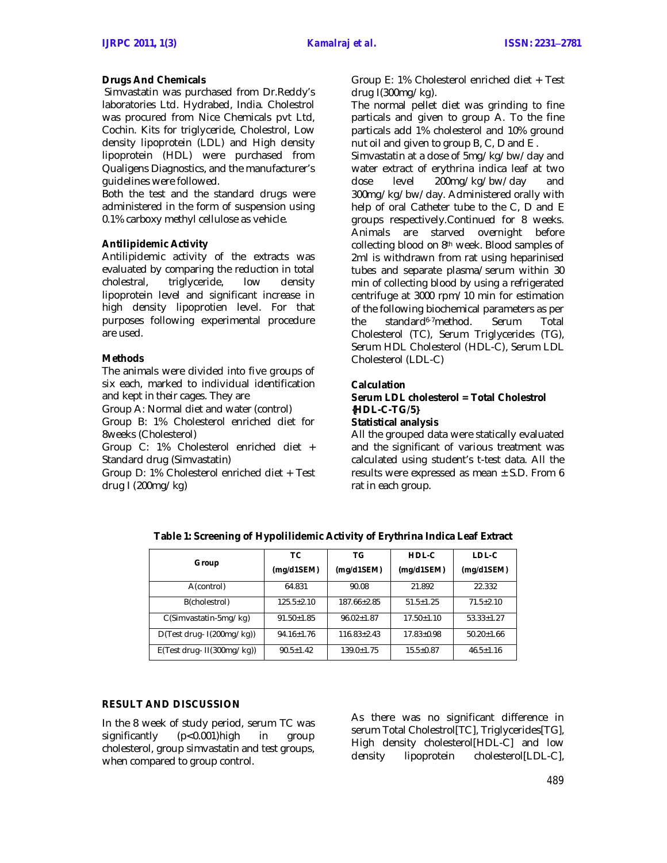#### **Drugs And Chemicals**

Simvastatin was purchased from Dr.Reddy's laboratories Ltd. Hydrabed, India. Cholestrol was procured from Nice Chemicals pvt Ltd, Cochin. Kits for triglyceride, Cholestrol, Low density lipoprotein (LDL) and High density lipoprotein (HDL) were purchased from Qualigens Diagnostics, and the manufacturer's guidelines were followed.

Both the test and the standard drugs were administered in the form of suspension using 0.1% carboxy methyl cellulose as vehicle.

#### **Antilipidemic Activity**

Antilipidemic activity of the extracts was evaluated by comparing the reduction in total cholestral, triglyceride, low density lipoprotein level and significant increase in high density lipoprotien level. For that purposes following experimental procedure are used.

#### **Methods**

The animals were divided into five groups of six each, marked to individual identification and kept in their cages. They are

Group A: Normal diet and water (control)

Group B: 1% Cholesterol enriched diet for 8weeks (Cholesterol)

Group C: 1% Cholesterol enriched diet + Standard drug (Simvastatin)

Group D: 1% Cholesterol enriched diet + Test drug I (200mg/kg)

Group E: 1% Cholesterol enriched diet + Test drug I(300mg/kg).

The normal pellet diet was grinding to fine particals and given to group A. To the fine particals add 1% cholesterol and 10% ground nut oil and given to group B, C, D and E .

Simvastatin at a dose of 5mg/kg/bw/day and water extract of erythrina indica leaf at two dose level 200mg/kg/bw/day and 300mg/kg/bw/day. Administered orally with help of oral Catheter tube to the C, D and E groups respectively.Continued for 8 weeks. Animals are starved overnight before collecting blood on 8th week. Blood samples of 2ml is withdrawn from rat using heparinised tubes and separate plasma/serum within 30 min of collecting blood by using a refrigerated centrifuge at 3000 rpm/10 min for estimation of the following biochemical parameters as per the standard6-7method. Serum Total Cholesterol (TC), Serum Triglycerides (TG), Serum HDL Cholesterol (HDL-C), Serum LDL Cholesterol (LDL-C)

#### **Calculation**

#### **Serum LDL cholesterol = Total Cholestrol {HDL-C-TG/5} Statistical analysis**

All the grouped data were statically evaluated and the significant of various treatment was calculated using student's t-test data. All the results were expressed as mean  $\pm$  S.D. From 6 rat in each group.

| Group                         | TC.              | ТG              | HDL-C           | LDL-C          |
|-------------------------------|------------------|-----------------|-----------------|----------------|
|                               | (mg/d1SEM)       | (mg/d1SEM)      | (mg/d1SEM)      | (mg/d1SEM)     |
| A(control)                    | 64.831           | 90.08           | 21.892          | 22.332         |
| B(cholestrol)                 | $125.5 + 2.10$   | 187.66+2.85     | $51.5 + 1.25$   | $71.5 + 2.10$  |
| C(Simvastatin-5mg/kg)         | $91.50 + 1.85$   | $96.02 + 1.87$  | $17.50 + 1.10$  | $53.33 + 1.27$ |
| $D(Test drug- I(200mg/kg))$   | $94.16 \pm 1.76$ | $116.83 + 2.43$ | $17.83 + 0.98$  | $50.20 + 1.66$ |
| $E(Test drug - II(300mg/kg))$ | $90.5 + 1.42$    | $139.0 + 1.75$  | $15.5 \pm 0.87$ | $46.5 + 1.16$  |

**Table 1: Screening of Hypolilidemic Activity of Erythrina Indica Leaf Extract**

#### **RESULT AND DISCUSSION**

In the 8 week of study period, serum TC was significantly (p<0.001)high in group cholesterol, group simvastatin and test groups, when compared to group control.

As there was no significant difference in serum Total Cholestrol[TC], Triglycerides[TG], High density cholesterol[HDL-C] and low density lipoprotein cholesterol[LDL-C],